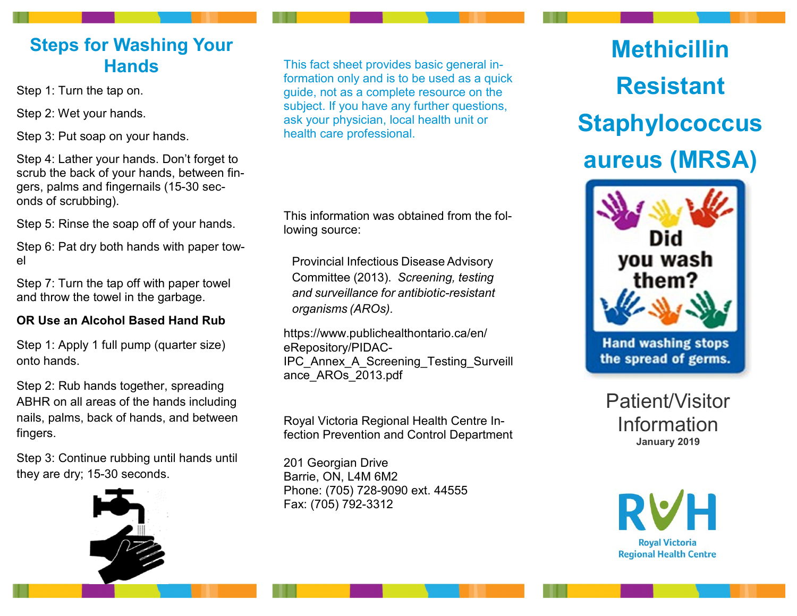## **Steps for Washing Your Hands**

Step 1: Turn the tap on.

Step 2: Wet your hands.

Step 3: Put soap on your hands.

Step 4: Lather your hands. Don't forget to scrub the back of your hands, between fingers, palms and fingernails (15-30 seconds of scrubbing).

Step 5: Rinse the soap off of your hands.

Step 6: Pat dry both hands with paper towel

Step 7: Turn the tap off with paper towel and throw the towel in the garbage.

### **OR Use an Alcohol Based Hand Rub**

Step 1: Apply 1 full pump (quarter size) onto hands.

Step 2: Rub hands together, spreading ABHR on all areas of the hands including nails, palms, back of hands, and between fingers.

Step 3: Continue rubbing until hands until they are dry; 15-30 seconds.



This fact sheet provides basic general information only and is to be used as a quick guide, not as a complete resource on the subject. If you have any further questions, ask your physician, local health unit or health care professional.

This information was obtained from the following source:

Provincial Infectious Disease Advisory Committee (2013). *Screening, testing and surveillance for antibiotic-resistant organisms (AROs).*

https://www.publichealthontario.ca/en/ eRepository/PIDAC-IPC\_Annex\_A\_Screening\_Testing\_Surveill ance\_AROs\_2013.pdf

Royal Victoria Regional Health Centre Infection Prevention and Control Department

201 Georgian Drive Barrie, ON, L4M 6M2 Phone: (705) 728-9090 ext. 44555 Fax: (705) 792-3312

# **Methicillin Resistant Staphylococcus aureus (MRSA)**



Patient/Visitor Information **January 2019**